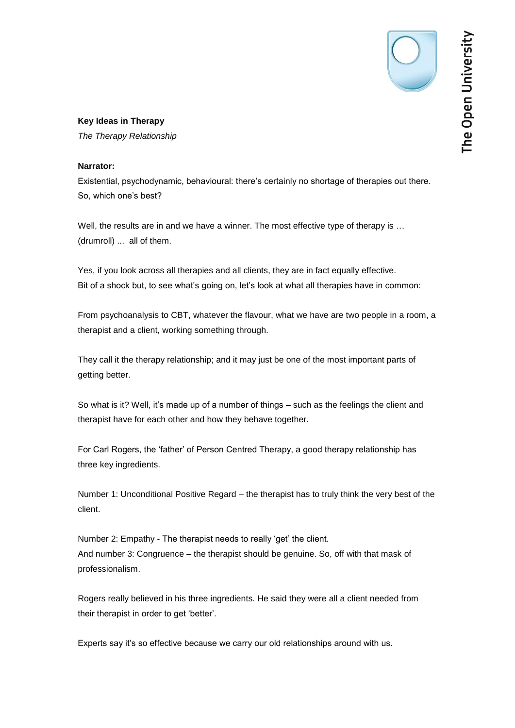*The Therapy Relationship*

## **Narrator:**

Existential, psychodynamic, behavioural: there's certainly no shortage of therapies out there. So, which one's best?

Well, the results are in and we have a winner. The most effective type of therapy is ... (drumroll) ... all of them.

Yes, if you look across all therapies and all clients, they are in fact equally effective. Bit of a shock but, to see what's going on, let's look at what all therapies have in common:

From psychoanalysis to CBT, whatever the flavour, what we have are two people in a room, a therapist and a client, working something through.

They call it the therapy relationship; and it may just be one of the most important parts of getting better.

So what is it? Well, it's made up of a number of things – such as the feelings the client and therapist have for each other and how they behave together.

For Carl Rogers, the 'father' of Person Centred Therapy, a good therapy relationship has three key ingredients.

Number 1: Unconditional Positive Regard – the therapist has to truly think the very best of the client.

Number 2: Empathy - The therapist needs to really 'get' the client. And number 3: Congruence – the therapist should be genuine. So, off with that mask of professionalism.

Rogers really believed in his three ingredients. He said they were all a client needed from their therapist in order to get 'better'.

Experts say it's so effective because we carry our old relationships around with us.